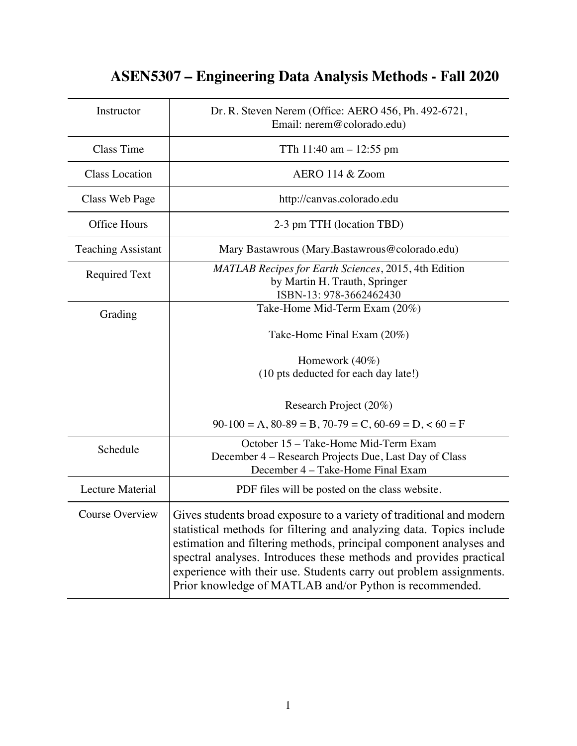## Instructor Dr. R. Steven Nerem (Office: AERO 456, Ph. 492-6721, Email: nerem@colorado.edu) Class Time  $\qquad \qquad$  TTh 11:40 am  $-12:55 \text{ pm}$ Class Location AERO 114 & Zoom Class Web Page | http://canvas.colorado.edu Office Hours 2-3 pm TTH (location TBD) Teaching Assistant Mary Bastawrous (Mary.Bastawrous@colorado.edu) Required Text *MATLAB Recipes for Earth Sciences*, 2015, 4th Edition by Martin H. Trauth, Springer ISBN-13: 978-3662462430 Grading Take-Home Mid-Term Exam (20%) Take-Home Final Exam (20%) Homework (40%) (10 pts deducted for each day late!) Research Project (20%)  $90-100 = A$ ,  $80-89 = B$ ,  $70-79 = C$ ,  $60-69 = D$ ,  $60 = F$ Schedule **October 15 – Take-Home Mid-Term Exam** December 4 – Research Projects Due, Last Day of Class December 4 – Take-Home Final Exam Lecture Material 1 **PDF** files will be posted on the class website. Course Overview  $\vert$  Gives students broad exposure to a variety of traditional and modern statistical methods for filtering and analyzing data. Topics include estimation and filtering methods, principal component analyses and spectral analyses. Introduces these methods and provides practical experience with their use. Students carry out problem assignments. Prior knowledge of MATLAB and/or Python is recommended.

## **ASEN5307 – Engineering Data Analysis Methods - Fall 2020**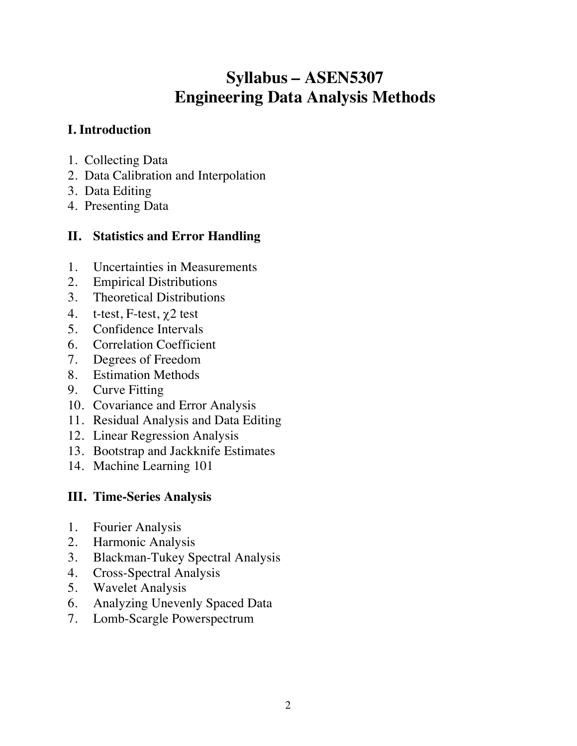# **Syllabus – ASEN5307 Engineering Data Analysis Methods**

### **I. Introduction**

- 1. Collecting Data
- 2. Data Calibration and Interpolation
- 3. Data Editing
- 4. Presenting Data

### **II. Statistics and Error Handling**

- 1. Uncertainties in Measurements
- 2. Empirical Distributions
- 3. Theoretical Distributions
- 4. t-test, F-test,  $\chi$ 2 test
- 5. Confidence Intervals
- 6. Correlation Coefficient
- 7. Degrees of Freedom
- 8. Estimation Methods
- 9. Curve Fitting
- 10. Covariance and Error Analysis
- 11. Residual Analysis and Data Editing
- 12. Linear Regression Analysis
- 13. Bootstrap and Jackknife Estimates
- 14. Machine Learning 101

### **III. Time-Series Analysis**

- 1. Fourier Analysis
- 2. Harmonic Analysis
- 3. Blackman-Tukey Spectral Analysis
- 4. Cross-Spectral Analysis
- 5. Wavelet Analysis
- 6. Analyzing Unevenly Spaced Data
- 7. Lomb-Scargle Powerspectrum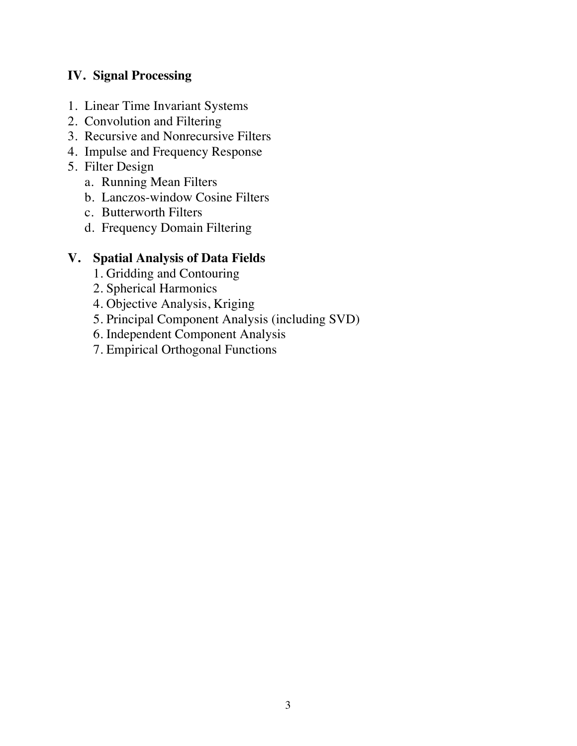### **IV. Signal Processing**

- 1. Linear Time Invariant Systems
- 2. Convolution and Filtering
- 3. Recursive and Nonrecursive Filters
- 4. Impulse and Frequency Response
- 5. Filter Design
	- a. Running Mean Filters
	- b. Lanczos-window Cosine Filters
	- c. Butterworth Filters
	- d. Frequency Domain Filtering

### **V. Spatial Analysis of Data Fields**

- 1. Gridding and Contouring
- 2. Spherical Harmonics
- 4. Objective Analysis, Kriging
- 5. Principal Component Analysis (including SVD)
- 6. Independent Component Analysis
- 7. Empirical Orthogonal Functions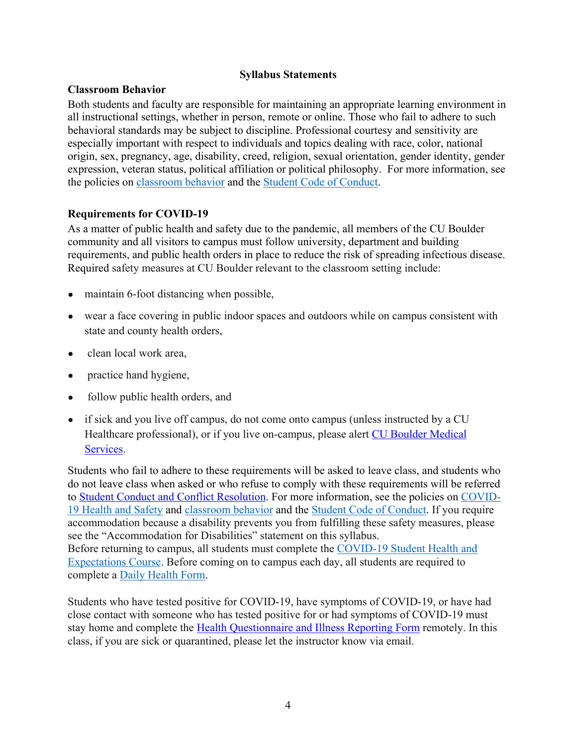#### **Syllabus Statements**

#### **Classroom Behavior**

Both students and faculty are responsible for maintaining an appropriate learning environment in all instructional settings, whether in person, remote or online. Those who fail to adhere to such behavioral standards may be subject to discipline. Professional courtesy and sensitivity are especially important with respect to individuals and topics dealing with race, color, national origin, sex, pregnancy, age, disability, creed, religion, sexual orientation, gender identity, gender expression, veteran status, political affiliation or political philosophy. For more information, see the policies on classroom behavior and the Student Code of Conduct.

#### **Requirements for COVID-19**

As a matter of public health and safety due to the pandemic, all members of the CU Boulder community and all visitors to campus must follow university, department and building requirements, and public health orders in place to reduce the risk of spreading infectious disease. Required safety measures at CU Boulder relevant to the classroom setting include:

- maintain 6-foot distancing when possible,
- wear a face covering in public indoor spaces and outdoors while on campus consistent with state and county health orders,
- clean local work area,
- practice hand hygiene,
- follow public health orders, and
- if sick and you live off campus, do not come onto campus (unless instructed by a CU Healthcare professional), or if you live on-campus, please alert CU Boulder Medical Services.

Students who fail to adhere to these requirements will be asked to leave class, and students who do not leave class when asked or who refuse to comply with these requirements will be referred to Student Conduct and Conflict Resolution. For more information, see the policies on COVID-19 Health and Safety and classroom behavior and the Student Code of Conduct. If you require accommodation because a disability prevents you from fulfilling these safety measures, please see the "Accommodation for Disabilities" statement on this syllabus. Before returning to campus, all students must complete the COVID-19 Student Health and Expectations Course. Before coming on to campus each day, all students are required to complete a Daily Health Form.

Students who have tested positive for COVID-19, have symptoms of COVID-19, or have had close contact with someone who has tested positive for or had symptoms of COVID-19 must stay home and complete the Health Questionnaire and Illness Reporting Form remotely. In this class, if you are sick or quarantined, please let the instructor know via email.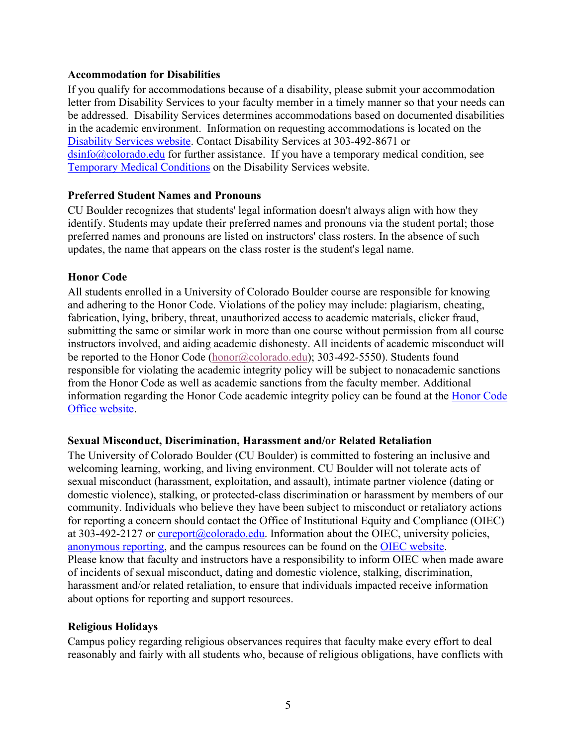#### **Accommodation for Disabilities**

If you qualify for accommodations because of a disability, please submit your accommodation letter from Disability Services to your faculty member in a timely manner so that your needs can be addressed. Disability Services determines accommodations based on documented disabilities in the academic environment. Information on requesting accommodations is located on the Disability Services website. Contact Disability Services at 303-492-8671 or  $\sin 6$  ( $\alpha$ ) colorado.edu for further assistance. If you have a temporary medical condition, see Temporary Medical Conditions on the Disability Services website.

#### **Preferred Student Names and Pronouns**

CU Boulder recognizes that students' legal information doesn't always align with how they identify. Students may update their preferred names and pronouns via the student portal; those preferred names and pronouns are listed on instructors' class rosters. In the absence of such updates, the name that appears on the class roster is the student's legal name.

#### **Honor Code**

All students enrolled in a University of Colorado Boulder course are responsible for knowing and adhering to the Honor Code. Violations of the policy may include: plagiarism, cheating, fabrication, lying, bribery, threat, unauthorized access to academic materials, clicker fraud, submitting the same or similar work in more than one course without permission from all course instructors involved, and aiding academic dishonesty. All incidents of academic misconduct will be reported to the Honor Code (honor@colorado.edu); 303-492-5550). Students found responsible for violating the academic integrity policy will be subject to nonacademic sanctions from the Honor Code as well as academic sanctions from the faculty member. Additional information regarding the Honor Code academic integrity policy can be found at the Honor Code Office website.

#### **Sexual Misconduct, Discrimination, Harassment and/or Related Retaliation**

The University of Colorado Boulder (CU Boulder) is committed to fostering an inclusive and welcoming learning, working, and living environment. CU Boulder will not tolerate acts of sexual misconduct (harassment, exploitation, and assault), intimate partner violence (dating or domestic violence), stalking, or protected-class discrimination or harassment by members of our community. Individuals who believe they have been subject to misconduct or retaliatory actions for reporting a concern should contact the Office of Institutional Equity and Compliance (OIEC) at 303-492-2127 or cureport@colorado.edu. Information about the OIEC, university policies, anonymous reporting, and the campus resources can be found on the OIEC website. Please know that faculty and instructors have a responsibility to inform OIEC when made aware of incidents of sexual misconduct, dating and domestic violence, stalking, discrimination, harassment and/or related retaliation, to ensure that individuals impacted receive information about options for reporting and support resources.

#### **Religious Holidays**

Campus policy regarding religious observances requires that faculty make every effort to deal reasonably and fairly with all students who, because of religious obligations, have conflicts with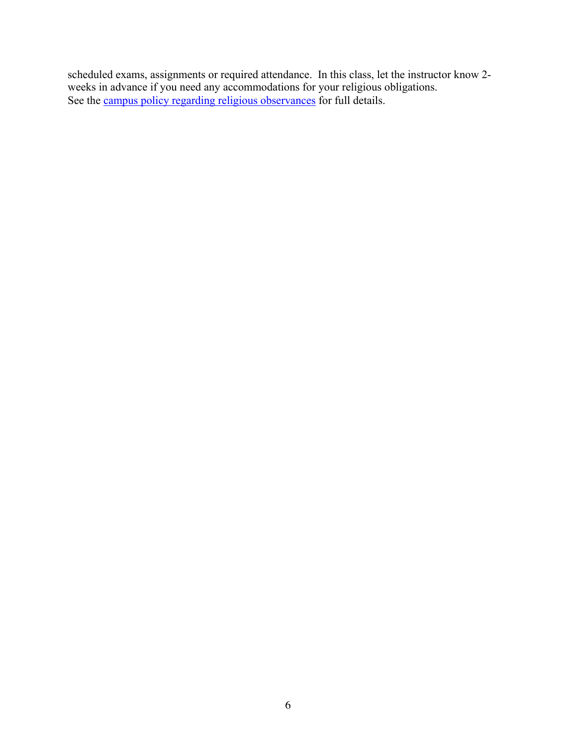scheduled exams, assignments or required attendance. In this class, let the instructor know 2 weeks in advance if you need any accommodations for your religious obligations. See the campus policy regarding religious observances for full details.